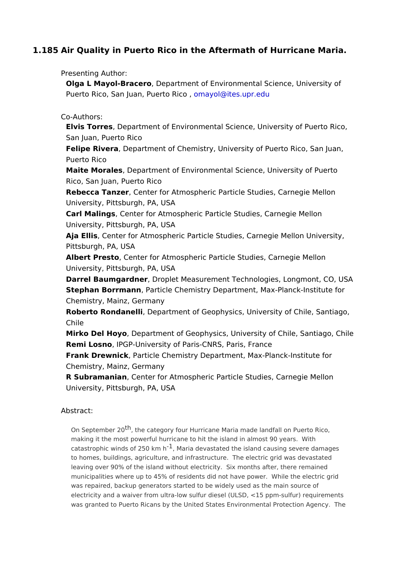## 1.185Air Quality in Puerto Rico in the Aftermath of Hurricane Mari

Presenting Author: Olga L Mayol-Brac Dreopartment of Environmental Science, University Puerto Rico, San Juan, PoerragoR@cides.upr.edu

Co-Authors: Elvis Torre Separtment of [Environmental](mailto:omayol@ites.upr.edu) Science, University of Puert San Juan, Puerto Rico Felipe River Department of Chemistry, University of Puerto Rico, San Puerto Rico Maite Morale Department of Environmental Science, University of Pue Rico, San Juan, Puerto Rico Rebecca Tanz Crenter for Atmospheric Particle Studies, Carnegie Mel University, Pittsburgh, PA, USA Carl Maling Center for Atmospheric Particle Studies, Carnegie Mellon University, Pittsburgh, PA, USA Aja Ellis Center for Atmospheric Particle Studies, Carnegie Mellon Un Pittsburgh, PA, USA Albert PrestCenter for Atmospheric Particle Studies, Carnegie Mello University, Pittsburgh, PA, USA Darrel Baumgard, n Droplet Measurement Technologies, Longmont, CO, Stephan Borrman Pharticle Chemistry Department, Max-Planck-Institute Chemistry, Mainz, Germany Roberto RondaneDiepartment of Geophysics, University of Chile, San Chile Mirko Del HoyDepartment of Geophysics, University of Chile, Santiag Remi Losnd PGP-University of Paris-CNRS, Paris, France Frank DrewnicRarticle Chemistry Department, Max-Planck-Institute fo Chemistry, Mainz, Germany R Subramani, a Genter for Atmospheric Particle Studies, Carnegie Mell University, Pittsburgh, PA, USA

Abstract:

On Septembe<sup>t</sup>, 2the category four Hurricane Maria made landfall on Puerto Rico making it the most powerful hurricane to hit the island in almost 90 years. Wi catastrophic winds of  $250$ M km i and devastated the island causing severe damages to homes, buildings, agriculture, and infrastructure. The electric grid was dev leaving over 90% of the island without electricity. Six months after, there rem municipalities where up to 45% of residents did not have power. While the ele was repaired, backup generators started to be widely used as the main source electricity and a waiver from ultra-low sulfur diesel (ULSD, <15 ppm-sulfur) re was granted to Puerto Ricans by the United States Environmental Protection A